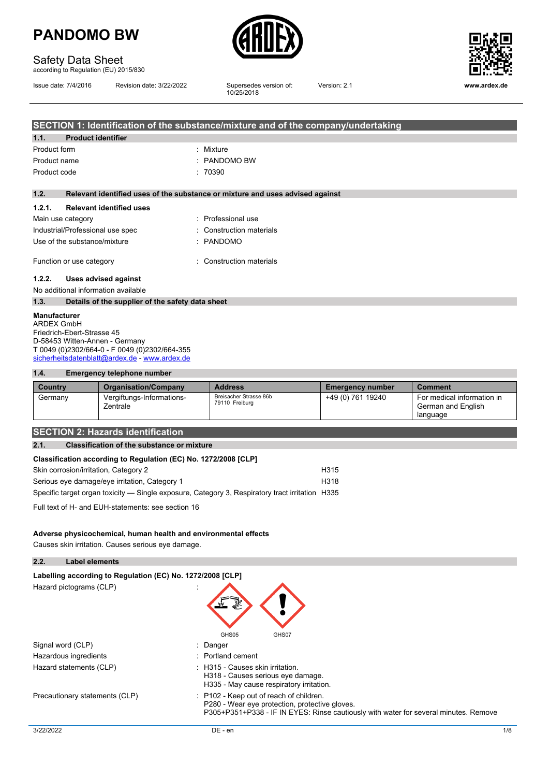

### Safety Data Sheet

according to Regulation (EU) 2015/830

|  | Issue date: 7/4/2016 |
|--|----------------------|
|  |                      |

Revision date: 3/22/2022

Supersedes version of:<br>10/25/2018



Version: 2.1 **www.ardex.de**

|                                     |                                                  | SECTION 1: Identification of the substance/mixture and of the company/undertaking |
|-------------------------------------|--------------------------------------------------|-----------------------------------------------------------------------------------|
| <b>Product identifier</b><br>1.1.   |                                                  |                                                                                   |
| Product form                        |                                                  | $:$ Mixture                                                                       |
| Product name                        |                                                  | $\therefore$ PANDOMO BW                                                           |
| Product code                        |                                                  | :70390                                                                            |
|                                     |                                                  |                                                                                   |
| 1.2.                                |                                                  | Relevant identified uses of the substance or mixture and uses advised against     |
| 1.2.1.                              | <b>Relevant identified uses</b>                  |                                                                                   |
| Main use category                   |                                                  | : Professional use                                                                |
| Industrial/Professional use spec    |                                                  | : Construction materials                                                          |
| Use of the substance/mixture        |                                                  | : PANDOMO                                                                         |
| Function or use category            |                                                  | : Construction materials                                                          |
| 1.2.2.                              | Uses advised against                             |                                                                                   |
| No additional information available |                                                  |                                                                                   |
| 1.3.                                | Details of the supplier of the safety data sheet |                                                                                   |
| <b>Manufacturer</b>                 |                                                  |                                                                                   |

ARDEX GmbH Friedrich-Ebert-Strasse 45 D-58453 Witten-Annen - Germany T 0049 (0)2302/664-0 - F 0049 (0)2302/664-355 [sicherheitsdatenblatt@ardex.de](mailto:sicherheitsdatenblatt@ardex.de) - [www.ardex.de](http://www.ardex.de/)

#### **1.4. Emergency telephone number**

| Country | <b>Organisation/Company</b>           | <b>Address</b>                           | <b>Emergency number</b> | <b>Comment</b>                                               |
|---------|---------------------------------------|------------------------------------------|-------------------------|--------------------------------------------------------------|
| Germany | Vergiftungs-Informations-<br>Zentrale | Breisacher Strasse 86b<br>79110 Freiburg | +49 (0) 761 19240       | For medical information in<br>German and English<br>language |

#### **SECTION 2: Hazards identification**

#### **2.1. Classification of the substance or mixture**

| Classification according to Regulation (EC) No. 1272/2008 [CLP] |                  |
|-----------------------------------------------------------------|------------------|
| Skin corrosion/irritation, Category 2                           | H <sub>315</sub> |

| Serious eye damage/eye irritation, Category 1                                                   | H318 |
|-------------------------------------------------------------------------------------------------|------|
| Specific target organ toxicity — Single exposure, Category 3, Respiratory tract irritation H335 |      |

Full text of H- and EUH-statements: see section 16

#### **Adverse physicochemical, human health and environmental effects**

Causes skin irritation. Causes serious eye damage.

| 2.2.      | <b>Label elements</b>                                      |                                                                                                                                                                                   |  |
|-----------|------------------------------------------------------------|-----------------------------------------------------------------------------------------------------------------------------------------------------------------------------------|--|
|           | Labelling according to Regulation (EC) No. 1272/2008 [CLP] |                                                                                                                                                                                   |  |
|           | Hazard pictograms (CLP)                                    | GHS05<br>GHS07                                                                                                                                                                    |  |
|           | Signal word (CLP)                                          | : Danger                                                                                                                                                                          |  |
|           | Hazardous ingredients                                      | : Portland cement                                                                                                                                                                 |  |
|           | Hazard statements (CLP)                                    | H315 - Causes skin irritation.<br>H318 - Causes serious eye damage.<br>H335 - May cause respiratory irritation.                                                                   |  |
|           | Precautionary statements (CLP)                             | : P102 - Keep out of reach of children.<br>P280 - Wear eye protection, protective gloves.<br>P305+P351+P338 - IF IN EYES: Rinse cautiously with water for several minutes. Remove |  |
| 3/22/2022 |                                                            | 1/8<br>DE - en                                                                                                                                                                    |  |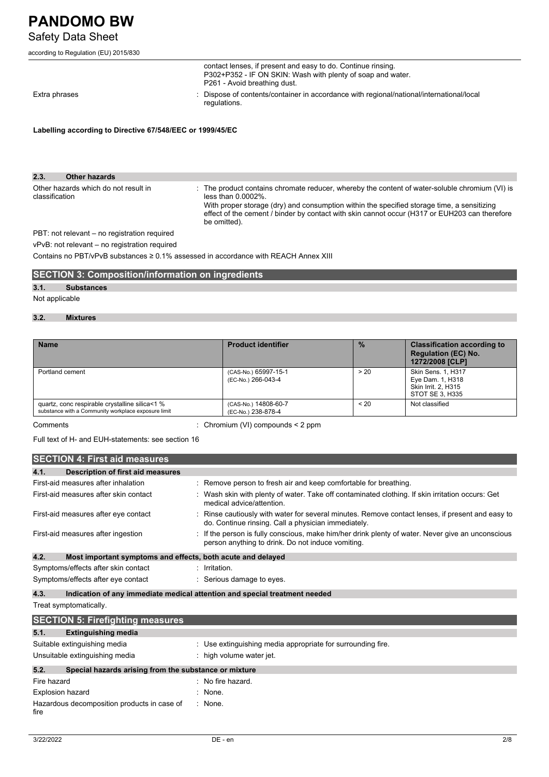### Safety Data Sheet

|  | according to Regulation (EU) 2015/830 |  |  |
|--|---------------------------------------|--|--|
|  |                                       |  |  |

|                                                           | contact lenses, if present and easy to do. Continue rinsing.<br>P302+P352 - IF ON SKIN: Wash with plenty of soap and water.<br>P261 - Avoid breathing dust. |
|-----------------------------------------------------------|-------------------------------------------------------------------------------------------------------------------------------------------------------------|
| Extra phrases                                             | : Dispose of contents/container in accordance with regional/national/international/local<br>regulations.                                                    |
| Labelling according to Directive 67/548/EEC or 1999/45/EC |                                                                                                                                                             |

**2.3. Other hazards** Other hazards which do not result in classification : The product contains chromate reducer, whereby the content of water-soluble chromium (VI) is less than 0.0002%. With proper storage (dry) and consumption within the specified storage time, a sensitizing effect of the cement / binder by contact with skin cannot occur (H317 or EUH203 can therefore

be omitted).

PBT: not relevant – no registration required

vPvB: not relevant – no registration required

Contains no PBT/vPvB substances ≥ 0.1% assessed in accordance with REACH Annex XIII

#### **SECTION 3: Composition/information on ingredients**

#### **3.1. Substances**

#### Not applicable

#### **3.2. Mixtures**

| <b>Name</b>                                                                                           | <b>Product identifier</b>                  | $\frac{9}{6}$ | <b>Classification according to</b><br><b>Regulation (EC) No.</b><br>1272/2008 [CLP] |
|-------------------------------------------------------------------------------------------------------|--------------------------------------------|---------------|-------------------------------------------------------------------------------------|
| Portland cement                                                                                       | (CAS-No.) 65997-15-1<br>(EC-No.) 266-043-4 | > 20          | Skin Sens. 1, H317<br>Eye Dam. 1, H318<br>Skin Irrit. 2. H315<br>STOT SE 3. H335    |
| quartz, conc respirable crystalline silica<1 %<br>substance with a Community workplace exposure limit | (CAS-No.) 14808-60-7<br>(EC-No.) 238-878-4 | < 20          | Not classified                                                                      |

Comments : Chromium (VI) compounds < 2 ppm

Full text of H- and EUH-statements: see section 16

|      | <b>SECTION 4: First aid measures</b>                        |                                                                                                                                                         |
|------|-------------------------------------------------------------|---------------------------------------------------------------------------------------------------------------------------------------------------------|
| 4.1. | Description of first aid measures                           |                                                                                                                                                         |
|      | First-aid measures after inhalation                         | : Remove person to fresh air and keep comfortable for breathing.                                                                                        |
|      | First-aid measures after skin contact                       | : Wash skin with plenty of water. Take off contaminated clothing. If skin irritation occurs: Get<br>medical advice/attention.                           |
|      | First-aid measures after eye contact                        | : Rinse cautiously with water for several minutes. Remove contact lenses, if present and easy to<br>do. Continue rinsing. Call a physician immediately. |
|      | First-aid measures after ingestion                          | : If the person is fully conscious, make him/her drink plenty of water. Never give an unconscious<br>person anything to drink. Do not induce vomiting.  |
| 4.2. | Most important symptoms and effects, both acute and delayed |                                                                                                                                                         |
|      | Symptoms/effects after skin contact                         | : Irritation.                                                                                                                                           |
|      | Symptoms/effects after eye contact                          | : Serious damage to eyes.                                                                                                                               |
| 4.3. |                                                             | Indication of any immediate medical attention and special treatment needed                                                                              |

Treat symptomatically.

|                                             | <b>SECTION 5: Firefighting measures</b>               |                                                             |
|---------------------------------------------|-------------------------------------------------------|-------------------------------------------------------------|
| 5.1.                                        | <b>Extinguishing media</b>                            |                                                             |
|                                             | Suitable extinguishing media                          | : Use extinguishing media appropriate for surrounding fire. |
|                                             | Unsuitable extinguishing media                        | : high volume water jet.                                    |
| 5.2.                                        | Special hazards arising from the substance or mixture |                                                             |
| Fire hazard                                 |                                                       | $\therefore$ No fire hazard.                                |
| <b>Explosion hazard</b>                     |                                                       | None.                                                       |
| Hazardous decomposition products in case of |                                                       | None.                                                       |

fire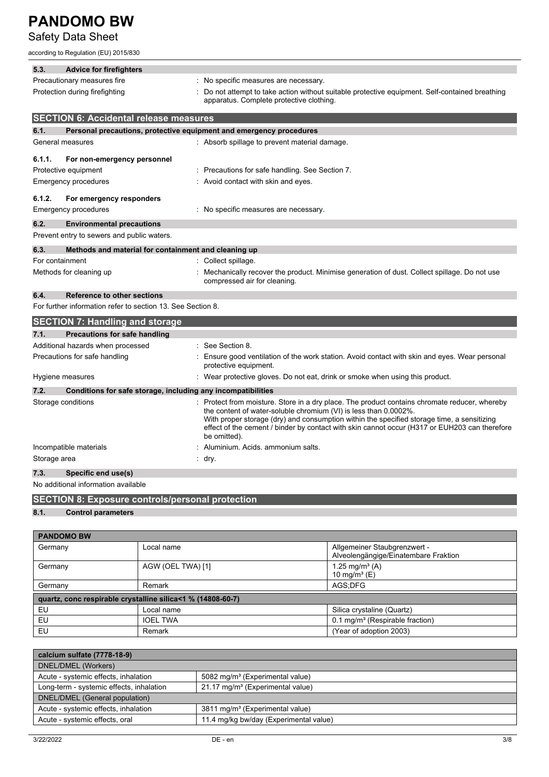### Safety Data Sheet

according to Regulation (EU) 2015/830

| 5.3.               | <b>Advice for firefighters</b>                                      |                                                                                                                                                                                                                                                                                                                                                                                |
|--------------------|---------------------------------------------------------------------|--------------------------------------------------------------------------------------------------------------------------------------------------------------------------------------------------------------------------------------------------------------------------------------------------------------------------------------------------------------------------------|
|                    | Precautionary measures fire                                         | : No specific measures are necessary.                                                                                                                                                                                                                                                                                                                                          |
|                    | Protection during firefighting                                      | Do not attempt to take action without suitable protective equipment. Self-contained breathing<br>apparatus. Complete protective clothing.                                                                                                                                                                                                                                      |
|                    | <b>SECTION 6: Accidental release measures</b>                       |                                                                                                                                                                                                                                                                                                                                                                                |
| 6.1.               | Personal precautions, protective equipment and emergency procedures |                                                                                                                                                                                                                                                                                                                                                                                |
| General measures   |                                                                     | : Absorb spillage to prevent material damage.                                                                                                                                                                                                                                                                                                                                  |
| 6.1.1.             | For non-emergency personnel                                         |                                                                                                                                                                                                                                                                                                                                                                                |
|                    | Protective equipment                                                | : Precautions for safe handling. See Section 7.                                                                                                                                                                                                                                                                                                                                |
|                    | Emergency procedures                                                | Avoid contact with skin and eyes.                                                                                                                                                                                                                                                                                                                                              |
| 6.1.2.             | For emergency responders                                            |                                                                                                                                                                                                                                                                                                                                                                                |
|                    | <b>Emergency procedures</b>                                         | No specific measures are necessary.                                                                                                                                                                                                                                                                                                                                            |
| 6.2.               | <b>Environmental precautions</b>                                    |                                                                                                                                                                                                                                                                                                                                                                                |
|                    | Prevent entry to sewers and public waters.                          |                                                                                                                                                                                                                                                                                                                                                                                |
| 6.3.               | Methods and material for containment and cleaning up                |                                                                                                                                                                                                                                                                                                                                                                                |
| For containment    |                                                                     | : Collect spillage.                                                                                                                                                                                                                                                                                                                                                            |
|                    | Methods for cleaning up                                             | Mechanically recover the product. Minimise generation of dust. Collect spillage. Do not use<br>compressed air for cleaning.                                                                                                                                                                                                                                                    |
| 6.4.               | Reference to other sections                                         |                                                                                                                                                                                                                                                                                                                                                                                |
|                    | For further information refer to section 13. See Section 8.         |                                                                                                                                                                                                                                                                                                                                                                                |
|                    | <b>SECTION 7: Handling and storage</b>                              |                                                                                                                                                                                                                                                                                                                                                                                |
| 7.1.               | <b>Precautions for safe handling</b>                                |                                                                                                                                                                                                                                                                                                                                                                                |
|                    | Additional hazards when processed                                   | See Section 8.                                                                                                                                                                                                                                                                                                                                                                 |
|                    | Precautions for safe handling                                       | Ensure good ventilation of the work station. Avoid contact with skin and eyes. Wear personal<br>protective equipment.                                                                                                                                                                                                                                                          |
|                    | Hygiene measures                                                    | Wear protective gloves. Do not eat, drink or smoke when using this product.                                                                                                                                                                                                                                                                                                    |
| 7.2.               | Conditions for safe storage, including any incompatibilities        |                                                                                                                                                                                                                                                                                                                                                                                |
| Storage conditions |                                                                     | Protect from moisture. Store in a dry place. The product contains chromate reducer, whereby<br>the content of water-soluble chromium (VI) is less than 0.0002%.<br>With proper storage (dry) and consumption within the specified storage time, a sensitizing<br>effect of the cement / binder by contact with skin cannot occur (H317 or EUH203 can therefore<br>be omitted). |
|                    | Incompatible materials                                              | Aluminium. Acids. ammonium salts.                                                                                                                                                                                                                                                                                                                                              |
| Storage area       |                                                                     | : dry.                                                                                                                                                                                                                                                                                                                                                                         |
| 7.3.               | Specific end use(s)                                                 |                                                                                                                                                                                                                                                                                                                                                                                |
|                    | No additional information available                                 |                                                                                                                                                                                                                                                                                                                                                                                |
|                    | <b>SECTION 8: Exposure controls/personal protection</b>             |                                                                                                                                                                                                                                                                                                                                                                                |
| 8.1.               | <b>Control parameters</b>                                           |                                                                                                                                                                                                                                                                                                                                                                                |

| <b>PANDOMO BW</b>                                           |                   |                                                                      |  |  |
|-------------------------------------------------------------|-------------------|----------------------------------------------------------------------|--|--|
| Germany                                                     | Local name        | Allgemeiner Staubgrenzwert -<br>Alveolengängige/Einatembare Fraktion |  |  |
| Germany                                                     | AGW (OEL TWA) [1] | 1.25 mg/m <sup>3</sup> (A)<br>10 mg/m <sup>3</sup> (E)               |  |  |
| Germany                                                     | Remark            | AGS:DFG                                                              |  |  |
| quartz, conc respirable crystalline silica<1 % (14808-60-7) |                   |                                                                      |  |  |
| EU                                                          | Local name        | Silica crystaline (Quartz)                                           |  |  |
| EU.                                                         | <b>IOEL TWA</b>   | 0.1 mg/m <sup>3</sup> (Respirable fraction)                          |  |  |
| EU                                                          | Remark            | (Year of adoption 2003)                                              |  |  |

| calcium sulfate (7778-18-9)                                              |                                              |  |
|--------------------------------------------------------------------------|----------------------------------------------|--|
| DNEL/DMEL (Workers)                                                      |                                              |  |
| Acute - systemic effects, inhalation                                     | 5082 mg/m <sup>3</sup> (Experimental value)  |  |
| Long-term - systemic effects, inhalation                                 | 21.17 mg/m <sup>3</sup> (Experimental value) |  |
| DNEL/DMEL (General population)                                           |                                              |  |
| Acute - systemic effects, inhalation                                     | 3811 mg/m <sup>3</sup> (Experimental value)  |  |
| Acute - systemic effects, oral<br>11.4 mg/kg bw/day (Experimental value) |                                              |  |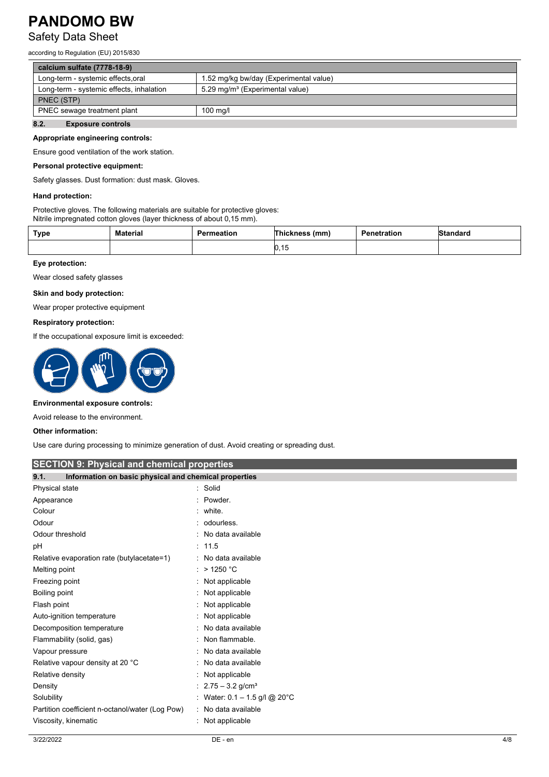### Safety Data Sheet

according to Regulation (EU) 2015/830

| calcium sulfate (7778-18-9)              |                                             |  |
|------------------------------------------|---------------------------------------------|--|
| Long-term - systemic effects, oral       | 1.52 mg/kg bw/day (Experimental value)      |  |
| Long-term - systemic effects, inhalation | 5.29 mg/m <sup>3</sup> (Experimental value) |  |
| PNEC (STP)                               |                                             |  |
| PNEC sewage treatment plant              | $100$ mg/l                                  |  |
| - -<br>.                                 |                                             |  |

### **8.2. Exposure controls**

#### **Appropriate engineering controls:**

Ensure good ventilation of the work station.

#### **Personal protective equipment:**

Safety glasses. Dust formation: dust mask. Gloves.

#### **Hand protection:**

Protective gloves. The following materials are suitable for protective gloves: Nitrile impregnated cotton gloves (layer thickness of about 0,15 mm).

| Type | <b>Material</b> | Permeation | (mm,<br>าickness        | Penetration | Standard |
|------|-----------------|------------|-------------------------|-------------|----------|
|      |                 |            | 1 <sub>b</sub><br>ט. וט |             |          |

#### **Eye protection:**

Wear closed safety glasses

#### **Skin and body protection:**

Wear proper protective equipment

#### **Respiratory protection:**

If the occupational exposure limit is exceeded:



#### **Environmental exposure controls:**

Avoid release to the environment.

#### **Other information:**

Use care during processing to minimize generation of dust. Avoid creating or spreading dust.

#### **SECTION 9: Physical and chemical properties**

| Information on basic physical and chemical properties<br>9.1. |                                  |  |
|---------------------------------------------------------------|----------------------------------|--|
| Physical state                                                | : Solid                          |  |
| Appearance                                                    | : Powder.                        |  |
| Colour                                                        | : white.                         |  |
| Odour                                                         | : odourless.                     |  |
| Odour threshold                                               | : No data available              |  |
| рH                                                            | : 11.5                           |  |
| Relative evaporation rate (butylacetate=1)                    | : No data available              |  |
| Melting point                                                 | $:$ > 1250 °C                    |  |
| Freezing point                                                | : Not applicable                 |  |
| Boiling point                                                 | : Not applicable                 |  |
| Flash point                                                   | : Not applicable                 |  |
| Auto-ignition temperature                                     | : Not applicable                 |  |
| Decomposition temperature                                     | : No data available              |  |
| Flammability (solid, gas)                                     | : Non flammable.                 |  |
| Vapour pressure                                               | : No data available              |  |
| Relative vapour density at 20 °C                              | : No data available              |  |
| Relative density                                              | : Not applicable                 |  |
| Density                                                       | : $2.75 - 3.2$ g/cm <sup>3</sup> |  |
| Solubility                                                    | : Water: $0.1 - 1.5$ g/l @ 20°C  |  |
| Partition coefficient n-octanol/water (Log Pow)               | : No data available              |  |
| Viscosity, kinematic                                          | : Not applicable                 |  |
|                                                               |                                  |  |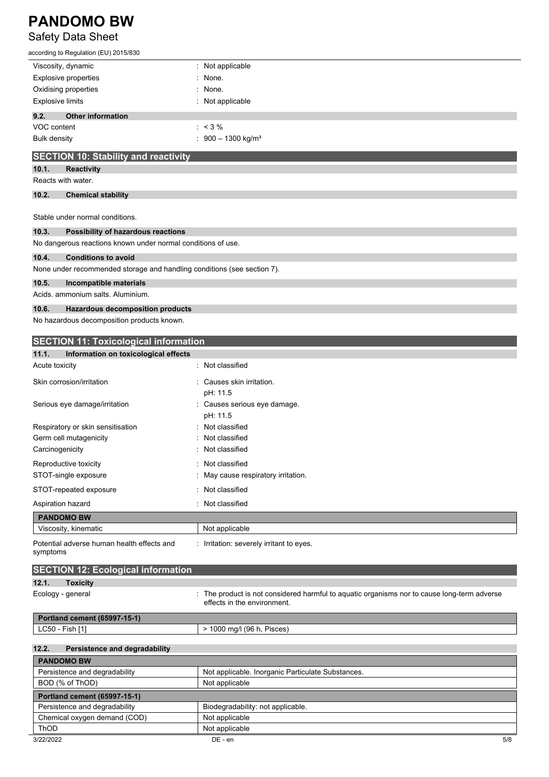### Safety Data Sheet

| according to Regulation (EU) 2015/830                                   |                                           |
|-------------------------------------------------------------------------|-------------------------------------------|
| Viscosity, dynamic                                                      | : Not applicable                          |
| <b>Explosive properties</b>                                             | : None.                                   |
| Oxidising properties                                                    | : None.                                   |
| <b>Explosive limits</b>                                                 | : Not applicable                          |
| 9.2.<br><b>Other information</b>                                        |                                           |
| VOC content                                                             | $: 3\%$                                   |
| <b>Bulk density</b>                                                     | $\therefore$ 900 - 1300 kg/m <sup>3</sup> |
| <b>SECTION 10: Stability and reactivity</b>                             |                                           |
| 10.1.<br><b>Reactivity</b>                                              |                                           |
| Reacts with water.                                                      |                                           |
| 10.2.<br><b>Chemical stability</b>                                      |                                           |
| Stable under normal conditions.                                         |                                           |
| 10.3.<br>Possibility of hazardous reactions                             |                                           |
| No dangerous reactions known under normal conditions of use.            |                                           |
| 10.4.<br><b>Conditions to avoid</b>                                     |                                           |
| None under recommended storage and handling conditions (see section 7). |                                           |
| 10.5.<br>Incompatible materials                                         |                                           |
| Acids, ammonium salts, Aluminium.                                       |                                           |
| 10.6.<br><b>Hazardous decomposition products</b>                        |                                           |

No hazardous decomposition products known.

| <b>SECTION 11: Toxicological information</b>                                                                             |
|--------------------------------------------------------------------------------------------------------------------------|
|                                                                                                                          |
| : Not classified                                                                                                         |
| Causes skin irritation.<br>pH: 11.5                                                                                      |
| Causes serious eye damage.<br>pH: 11.5                                                                                   |
| Not classified                                                                                                           |
| Not classified                                                                                                           |
| Not classified                                                                                                           |
| Not classified                                                                                                           |
| May cause respiratory irritation.                                                                                        |
| Not classified                                                                                                           |
| Not classified                                                                                                           |
|                                                                                                                          |
| Not applicable                                                                                                           |
| Irritation: severely irritant to eyes.                                                                                   |
|                                                                                                                          |
|                                                                                                                          |
| The product is not considered harmful to aquatic organisms nor to cause long-term adverse<br>effects in the environment. |
|                                                                                                                          |
| > 1000 mg/l (96 h, Pisces)                                                                                               |
|                                                                                                                          |
|                                                                                                                          |
| Not applicable. Inorganic Particulate Substances.                                                                        |
| Not applicable                                                                                                           |
|                                                                                                                          |
| Biodegradability: not applicable.                                                                                        |
|                                                                                                                          |

| (COD)<br>Chemical<br>∟demand ∟<br>oxvaen | Not<br>applicable |     |
|------------------------------------------|-------------------|-----|
| <b>ThOD</b>                              | Not<br>applicable |     |
| 3/22/2022                                | DE - en           | 5/8 |
|                                          |                   |     |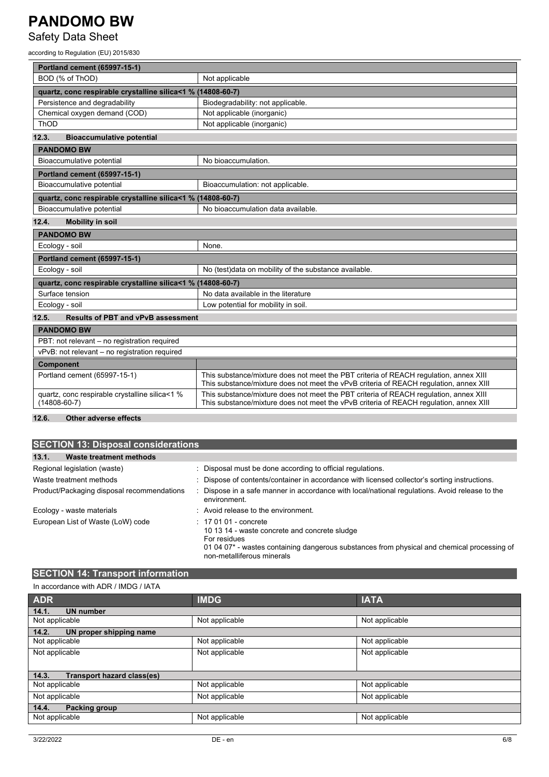### Safety Data Sheet

according to Regulation (EU) 2015/830

| <b>Portland cement (65997-15-1)</b>                                  |                                                                                                                                                                                 |  |
|----------------------------------------------------------------------|---------------------------------------------------------------------------------------------------------------------------------------------------------------------------------|--|
| BOD (% of ThOD)                                                      | Not applicable                                                                                                                                                                  |  |
| quartz, conc respirable crystalline silica<1 % (14808-60-7)          |                                                                                                                                                                                 |  |
| Persistence and degradability                                        | Biodegradability: not applicable.                                                                                                                                               |  |
| Chemical oxygen demand (COD)                                         | Not applicable (inorganic)                                                                                                                                                      |  |
| ThOD                                                                 | Not applicable (inorganic)                                                                                                                                                      |  |
| 12.3.<br><b>Bioaccumulative potential</b>                            |                                                                                                                                                                                 |  |
| <b>PANDOMO BW</b>                                                    |                                                                                                                                                                                 |  |
| Bioaccumulative potential                                            | No bioaccumulation.                                                                                                                                                             |  |
| <b>Portland cement (65997-15-1)</b>                                  |                                                                                                                                                                                 |  |
| Bioaccumulative potential                                            | Bioaccumulation: not applicable.                                                                                                                                                |  |
| quartz, conc respirable crystalline silica<1 % (14808-60-7)          |                                                                                                                                                                                 |  |
| Bioaccumulative potential                                            | No bioaccumulation data available.                                                                                                                                              |  |
| 12.4.<br><b>Mobility in soil</b>                                     |                                                                                                                                                                                 |  |
| <b>PANDOMO BW</b>                                                    |                                                                                                                                                                                 |  |
| Ecology - soil<br>None.                                              |                                                                                                                                                                                 |  |
| <b>Portland cement (65997-15-1)</b>                                  |                                                                                                                                                                                 |  |
| Ecology - soil                                                       | No (test)data on mobility of the substance available.                                                                                                                           |  |
| quartz, conc respirable crystalline silica<1 % (14808-60-7)          |                                                                                                                                                                                 |  |
| Surface tension                                                      | No data available in the literature                                                                                                                                             |  |
| Ecology - soil                                                       | Low potential for mobility in soil.                                                                                                                                             |  |
| <b>Results of PBT and vPvB assessment</b><br>12.5.                   |                                                                                                                                                                                 |  |
| <b>PANDOMO BW</b>                                                    |                                                                                                                                                                                 |  |
| PBT: not relevant - no registration required                         |                                                                                                                                                                                 |  |
| vPvB: not relevant - no registration required                        |                                                                                                                                                                                 |  |
| <b>Component</b>                                                     |                                                                                                                                                                                 |  |
| Portland cement (65997-15-1)                                         | This substance/mixture does not meet the PBT criteria of REACH requlation, annex XIII<br>This substance/mixture does not meet the vPvB criteria of REACH regulation, annex XIII |  |
| quartz, conc respirable crystalline silica<1 %<br>$(14808 - 60 - 7)$ | This substance/mixture does not meet the PBT criteria of REACH regulation, annex XIII<br>This substance/mixture does not meet the vPvB criteria of REACH regulation, annex XIII |  |
|                                                                      |                                                                                                                                                                                 |  |

#### **12.6. Other adverse effects**

| <b>SECTION 13: Disposal considerations</b> |                                                                                                                                                                                                                     |  |  |
|--------------------------------------------|---------------------------------------------------------------------------------------------------------------------------------------------------------------------------------------------------------------------|--|--|
| 13.1.<br>Waste treatment methods           |                                                                                                                                                                                                                     |  |  |
| Regional legislation (waste)               | : Disposal must be done according to official regulations.                                                                                                                                                          |  |  |
| Waste treatment methods                    | : Dispose of contents/container in accordance with licensed collector's sorting instructions.                                                                                                                       |  |  |
| Product/Packaging disposal recommendations | Dispose in a safe manner in accordance with local/national regulations. Avoid release to the<br>environment.                                                                                                        |  |  |
| Ecology - waste materials                  | : Avoid release to the environment.                                                                                                                                                                                 |  |  |
| European List of Waste (LoW) code          | $: 170101$ - concrete<br>10 13 14 - waste concrete and concrete sludge<br>For residues<br>01 04 07* - wastes containing dangerous substances from physical and chemical processing of<br>non-metalliferous minerals |  |  |

# **SECTION 14: Transport information** In accordance with ADR / IMDG / IATA

| <b>ADR</b>                                 | <b>IMDG</b>    | <b>IATA</b>    |
|--------------------------------------------|----------------|----------------|
| 14.1.<br><b>UN number</b>                  |                |                |
| Not applicable                             | Not applicable | Not applicable |
| 14.2.<br>UN proper shipping name           |                |                |
| Not applicable                             | Not applicable | Not applicable |
| Not applicable                             | Not applicable | Not applicable |
|                                            |                |                |
| <b>Transport hazard class(es)</b><br>14.3. |                |                |
| Not applicable                             | Not applicable | Not applicable |
| Not applicable                             | Not applicable | Not applicable |
| 14.4.<br>Packing group                     |                |                |
| Not applicable                             | Not applicable | Not applicable |
|                                            |                |                |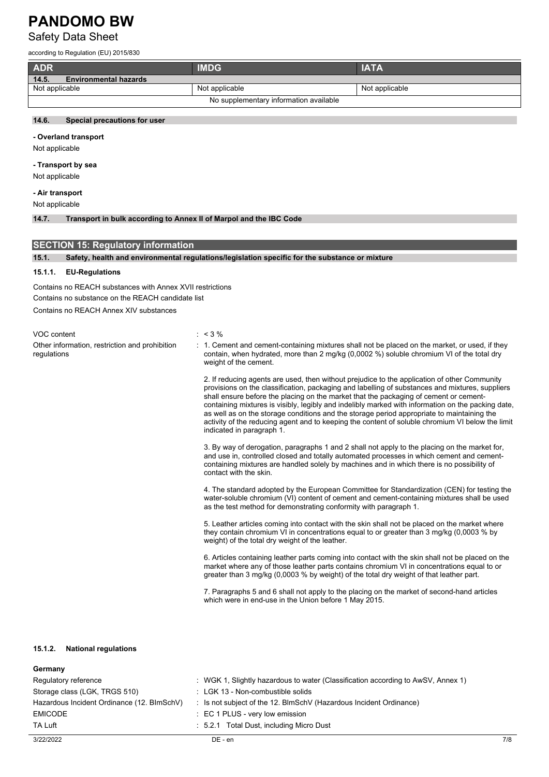### Safety Data Sheet

according to Regulation (EU) 2015/830

| <b>ADR</b>                             | <b>IMDG</b>    | <b>IATA</b>    |
|----------------------------------------|----------------|----------------|
| 14.5.<br><b>Environmental hazards</b>  |                |                |
| Not applicable                         | Not applicable | Not applicable |
| No supplementary information available |                |                |

#### **14.6. Special precautions for user**

#### **- Overland transport**

Not applicable

#### **- Transport by sea**

Not applicable

**- Air transport**

Not applicable

#### **14.7. Transport in bulk according to Annex II of Marpol and the IBC Code**

| <b>SECTION 15: Regulatory information</b> |                                                                                                |  |  |  |
|-------------------------------------------|------------------------------------------------------------------------------------------------|--|--|--|
| 15.1.                                     | Safety, health and environmental regulations/legislation specific for the substance or mixture |  |  |  |
| <b>APAA</b>                               | <b>ITAL IN a constant and a</b>                                                                |  |  |  |

#### **15.1.1. EU-Regulations**

Contains no REACH substances with Annex XVII restrictions

Contains no substance on the REACH candidate list

Contains no REACH Annex XIV substances

VOC content : < 3 % Other information, restriction and prohibition regulations

: 1. Cement and cement-containing mixtures shall not be placed on the market, or used, if they contain, when hydrated, more than 2 mg/kg (0,0002 %) soluble chromium VI of the total dry weight of the cement.

2. If reducing agents are used, then without prejudice to the application of other Community provisions on the classification, packaging and labelling of substances and mixtures, suppliers shall ensure before the placing on the market that the packaging of cement or cementcontaining mixtures is visibly, legibly and indelibly marked with information on the packing date, as well as on the storage conditions and the storage period appropriate to maintaining the activity of the reducing agent and to keeping the content of soluble chromium VI below the limit indicated in paragraph 1.

3. By way of derogation, paragraphs 1 and 2 shall not apply to the placing on the market for, and use in, controlled closed and totally automated processes in which cement and cementcontaining mixtures are handled solely by machines and in which there is no possibility of contact with the skin.

4. The standard adopted by the European Committee for Standardization (CEN) for testing the water-soluble chromium (VI) content of cement and cement-containing mixtures shall be used as the test method for demonstrating conformity with paragraph 1.

5. Leather articles coming into contact with the skin shall not be placed on the market where they contain chromium VI in concentrations equal to or greater than 3 mg/kg (0,0003 % by weight) of the total dry weight of the leather.

6. Articles containing leather parts coming into contact with the skin shall not be placed on the market where any of those leather parts contains chromium VI in concentrations equal to or greater than 3 mg/kg (0,0003 % by weight) of the total dry weight of that leather part.

7. Paragraphs 5 and 6 shall not apply to the placing on the market of second-hand articles which were in end-use in the Union before 1 May 2015.

#### **15.1.2. National regulations**

### **Germany**

| Regulatory reference                       | : WGK 1, Slightly hazardous to water (Classification according to AwSV, Annex 1) |
|--------------------------------------------|----------------------------------------------------------------------------------|
| Storage class (LGK, TRGS 510)              | : LGK 13 - Non-combustible solids                                                |
| Hazardous Incident Ordinance (12. BImSchV) | : Is not subject of the 12. BlmSchV (Hazardous Incident Ordinance)               |
| <b>EMICODE</b>                             | : EC 1 PLUS - very low emission                                                  |
| <b>TA Luft</b>                             | : 5.2.1 Total Dust, including Micro Dust                                         |
|                                            |                                                                                  |